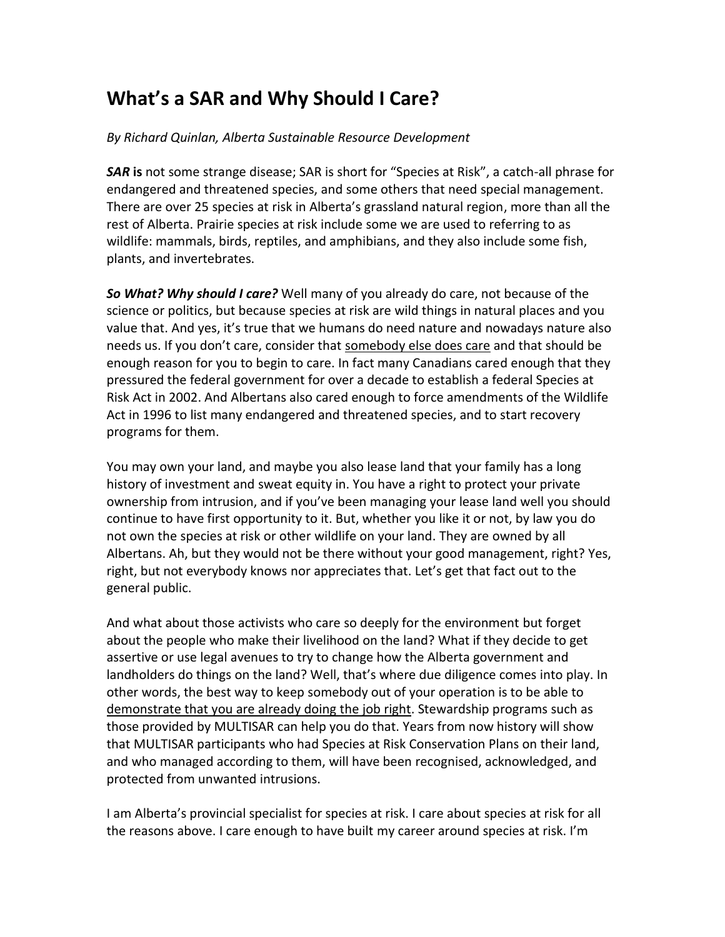## **What's a SAR and Why Should I Care?**

*By Richard Quinlan, Alberta Sustainable Resource Development*

*SAR* **is** not some strange disease; SAR is short for "Species at Risk", a catch-all phrase for endangered and threatened species, and some others that need special management. There are over 25 species at risk in Alberta's grassland natural region, more than all the rest of Alberta. Prairie species at risk include some we are used to referring to as wildlife: mammals, birds, reptiles, and amphibians, and they also include some fish, plants, and invertebrates.

*So What? Why should I care?* Well many of you already do care, not because of the science or politics, but because species at risk are wild things in natural places and you value that. And yes, it's true that we humans do need nature and nowadays nature also needs us. If you don't care, consider that somebody else does care and that should be enough reason for you to begin to care. In fact many Canadians cared enough that they pressured the federal government for over a decade to establish a federal Species at Risk Act in 2002. And Albertans also cared enough to force amendments of the Wildlife Act in 1996 to list many endangered and threatened species, and to start recovery programs for them.

You may own your land, and maybe you also lease land that your family has a long history of investment and sweat equity in. You have a right to protect your private ownership from intrusion, and if you've been managing your lease land well you should continue to have first opportunity to it. But, whether you like it or not, by law you do not own the species at risk or other wildlife on your land. They are owned by all Albertans. Ah, but they would not be there without your good management, right? Yes, right, but not everybody knows nor appreciates that. Let's get that fact out to the general public.

And what about those activists who care so deeply for the environment but forget about the people who make their livelihood on the land? What if they decide to get assertive or use legal avenues to try to change how the Alberta government and landholders do things on the land? Well, that's where due diligence comes into play. In other words, the best way to keep somebody out of your operation is to be able to demonstrate that you are already doing the job right. Stewardship programs such as those provided by MULTISAR can help you do that. Years from now history will show that MULTISAR participants who had Species at Risk Conservation Plans on their land, and who managed according to them, will have been recognised, acknowledged, and protected from unwanted intrusions.

I am Alberta's provincial specialist for species at risk. I care about species at risk for all the reasons above. I care enough to have built my career around species at risk. I'm